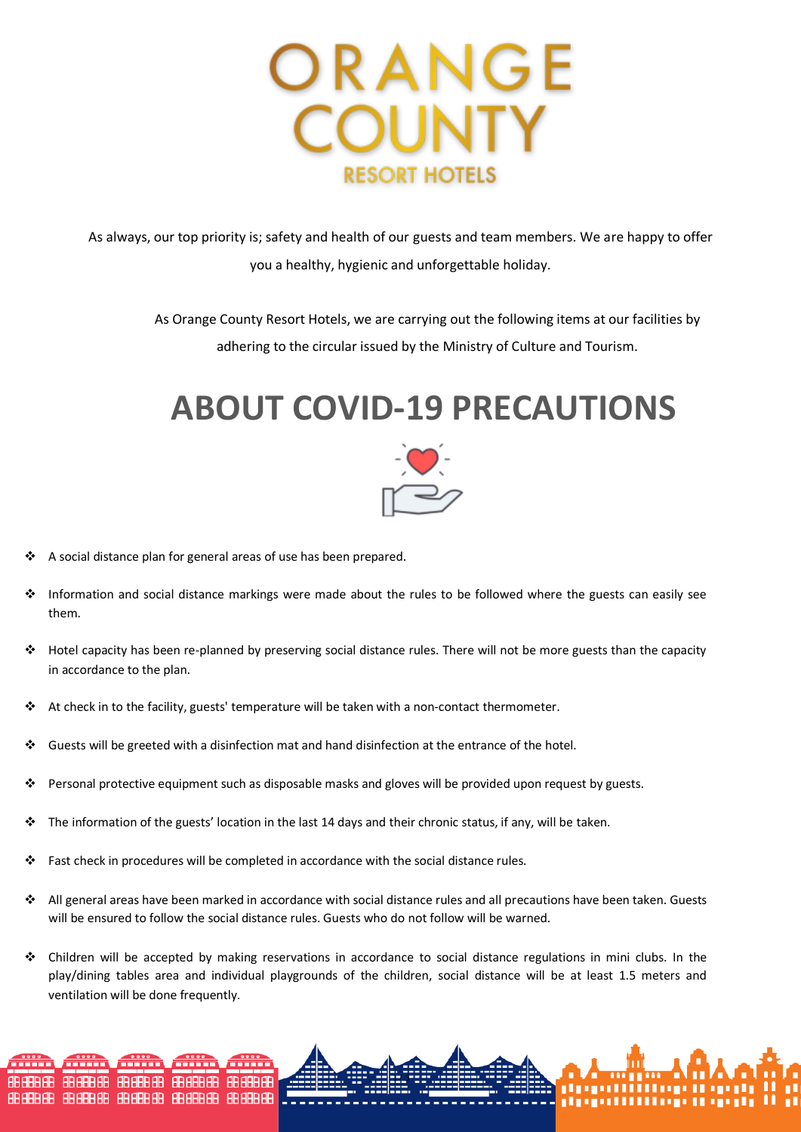

As always, our top priority is; safety and health of our guests and team members. We are happy to offer you a healthy, hygienic and unforgettable holiday.

> As Orange County Resort Hotels, we are carrying out the following items at our facilities by adhering to the circular issued by the Ministry of Culture and Tourism.

## **ABOUT COVID-19 PRECAUTIONS**



- A social distance plan for general areas of use has been prepared.
- Information and social distance markings were made about the rules to be followed where the guests can easily see them.
- Hotel capacity has been re-planned by preserving social distance rules. There will not be more guests than the capacity in accordance to the plan.
- At check in to the facility, guests' temperature will be taken with a non-contact thermometer.
- Guests will be greeted with a disinfection mat and hand disinfection at the entrance of the hotel.
- Personal protective equipment such as disposable masks and gloves will be provided upon request by guests.
- $\cdot \cdot$  The information of the guests' location in the last 14 days and their chronic status, if any, will be taken.
- \* Fast check in procedures will be completed in accordance with the social distance rules.
- All general areas have been marked in accordance with social distance rules and all precautions have been taken. Guests will be ensured to follow the social distance rules. Guests who do not follow will be warned.
- Children will be accepted by making reservations in accordance to social distance regulations in mini clubs. In the play/dining tables area and individual playgrounds of the children, social distance will be at least 1.5 meters and ventilation will be done frequently.

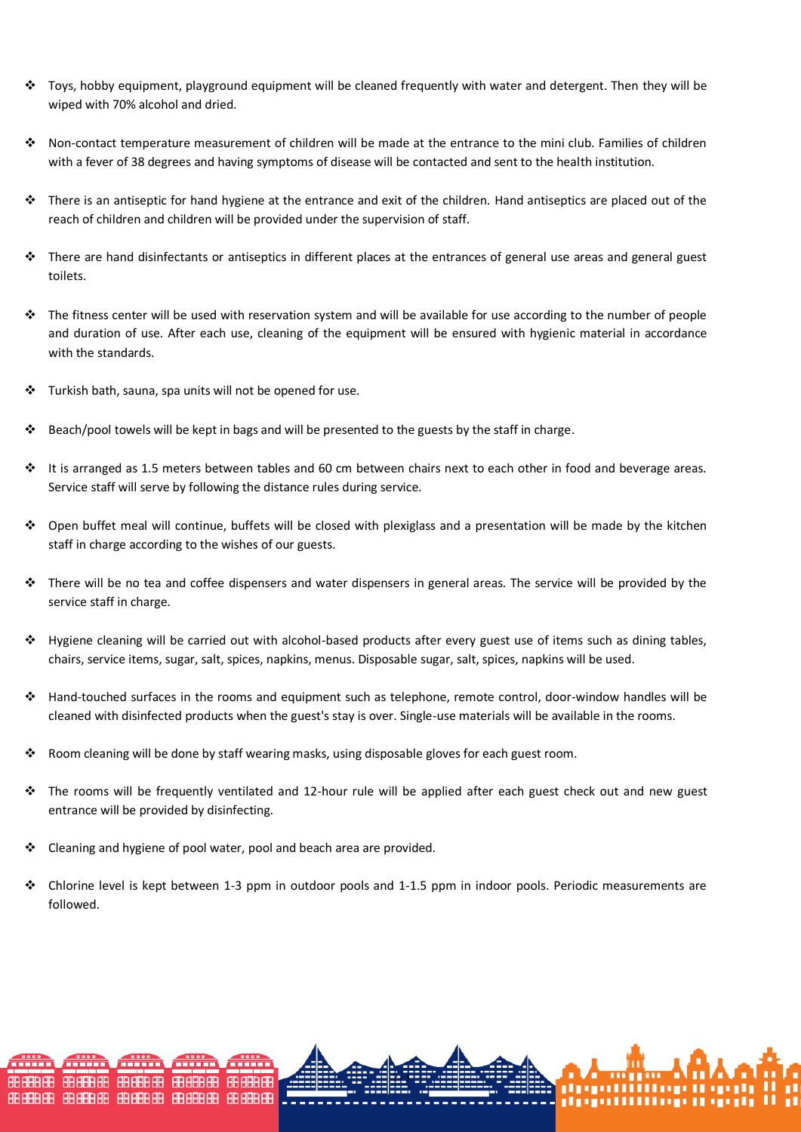- Toys, hobby equipment, playground equipment will be cleaned frequently with water and detergent. Then they will be wiped with 70% alcohol and dried.
- Non-contact temperature measurement of children will be made at the entrance to the mini club. Families of children with a fever of 38 degrees and having symptoms of disease will be contacted and sent to the health institution.
- There is an antiseptic for hand hygiene at the entrance and exit of the children. Hand antiseptics are placed out of the reach of children and children will be provided under the supervision of staff.
- \* There are hand disinfectants or antiseptics in different places at the entrances of general use areas and general guest toilets.
- The fitness center will be used with reservation system and will be available for use according to the number of people and duration of use. After each use, cleaning of the equipment will be ensured with hygienic material in accordance with the standards.
- Turkish bath, sauna, spa units will not be opened for use.
- Beach/pool towels will be kept in bags and will be presented to the guests by the staff in charge.
- It is arranged as 1.5 meters between tables and 60 cm between chairs next to each other in food and beverage areas. Service staff will serve by following the distance rules during service.
- Open buffet meal will continue, buffets will be closed with plexiglass and a presentation will be made by the kitchen staff in charge according to the wishes of our guests.
- There will be no tea and coffee dispensers and water dispensers in general areas. The service will be provided by the service staff in charge.
- Hygiene cleaning will be carried out with alcohol-based products after every guest use of items such as dining tables, chairs, service items, sugar, salt, spices, napkins, menus. Disposable sugar, salt, spices, napkins will be used.
- Hand-touched surfaces in the rooms and equipment such as telephone, remote control, door-window handles will be cleaned with disinfected products when the guest's stay is over. Single-use materials will be available in the rooms.
- $\cdot$  Room cleaning will be done by staff wearing masks, using disposable gloves for each guest room.
- $\div$  The rooms will be frequently ventilated and 12-hour rule will be applied after each guest check out and new guest entrance will be provided by disinfecting.
- Cleaning and hygiene of pool water, pool and beach area are provided.
- $\bullet$  Chlorine level is kept between 1-3 ppm in outdoor pools and 1-1.5 ppm in indoor pools. Periodic measurements are followed.